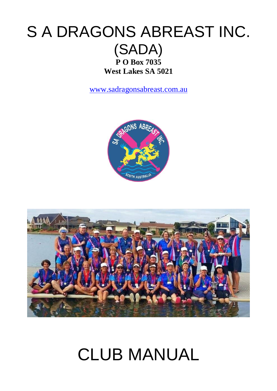# S A DRAGONS ABREAST INC. (SADA) **P O Box 7035 West Lakes SA 5021**

[www.sadragonsabreast.com.au](http://www.sadragonsabreast.com.au/)





# CLUB MANUAL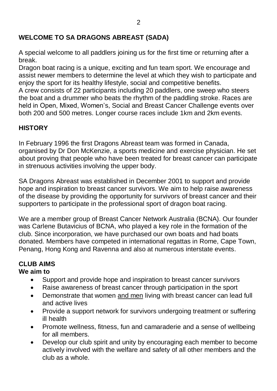#### **WELCOME TO SA DRAGONS ABREAST (SADA)**

A special welcome to all paddlers joining us for the first time or returning after a break.

Dragon boat racing is a unique, exciting and fun team sport. We encourage and assist newer members to determine the level at which they wish to participate and enjoy the sport for its healthy lifestyle, social and competitive benefits.

A crew consists of 22 participants including 20 paddlers, one sweep who steers the boat and a drummer who beats the rhythm of the paddling stroke. Races are held in Open, Mixed, Women's, Social and Breast Cancer Challenge events over both 200 and 500 metres. Longer course races include 1km and 2km events.

# **HISTORY**

In February 1996 the first Dragons Abreast team was formed in Canada, organised by Dr Don McKenzie, a sports medicine and exercise physician. He set about proving that people who have been treated for breast cancer can participate in strenuous activities involving the upper body.

SA Dragons Abreast was established in December 2001 to support and provide hope and inspiration to breast cancer survivors. We aim to help raise awareness of the disease by providing the opportunity for survivors of breast cancer and their supporters to participate in the professional sport of dragon boat racing.

We are a member group of Breast Cancer Network Australia (BCNA). Our founder was Carlene Butavicius of BCNA, who played a key role in the formation of the club. Since incorporation, we have purchased our own boats and had boats donated. Members have competed in international regattas in Rome, Cape Town, Penang, Hong Kong and Ravenna and also at numerous interstate events.

# **CLUB AIMS**

#### **We aim to**

- Support and provide hope and inspiration to breast cancer survivors
- Raise awareness of breast cancer through participation in the sport
- Demonstrate that women and men living with breast cancer can lead full and active lives
- Provide a support network for survivors undergoing treatment or suffering ill health
- Promote wellness, fitness, fun and camaraderie and a sense of wellbeing for all members.
- Develop our club spirit and unity by encouraging each member to become actively involved with the welfare and safety of all other members and the club as a whole.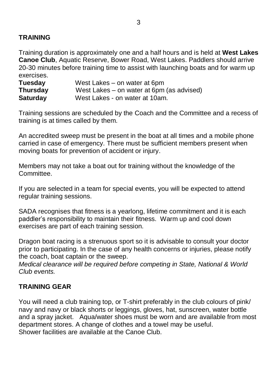#### **TRAINING**

Training duration is approximately one and a half hours and is held at **West Lakes Canoe Club**, Aquatic Reserve, Bower Road, West Lakes. Paddlers should arrive 20-30 minutes before training time to assist with launching boats and for warm up exercises.

| Tuesday         | West Lakes – on water at 6pm              |
|-----------------|-------------------------------------------|
| <b>Thursday</b> | West Lakes – on water at 6pm (as advised) |
| <b>Saturday</b> | West Lakes - on water at 10am.            |

Training sessions are scheduled by the Coach and the Committee and a recess of training is at times called by them.

An accredited sweep must be present in the boat at all times and a mobile phone carried in case of emergency. There must be sufficient members present when moving boats for prevention of accident or injury.

Members may not take a boat out for training without the knowledge of the Committee.

If you are selected in a team for special events, you will be expected to attend regular training sessions.

SADA recognises that fitness is a yearlong, lifetime commitment and it is each paddler's responsibility to maintain their fitness. Warm up and cool down exercises are part of each training session.

Dragon boat racing is a strenuous sport so it is advisable to consult your doctor prior to participating. In the case of any health concerns or injuries, please notify the coach, boat captain or the sweep.

*Medical clearance will be required before competing in State, National & World Club events.* 

#### **TRAINING GEAR**

You will need a club training top, or T-shirt preferably in the club colours of pink/ navy and navy or black shorts or leggings, gloves, hat, sunscreen, water bottle and a spray jacket. Aqua/water shoes must be worn and are available from most department stores. A change of clothes and a towel may be useful. Shower facilities are available at the Canoe Club.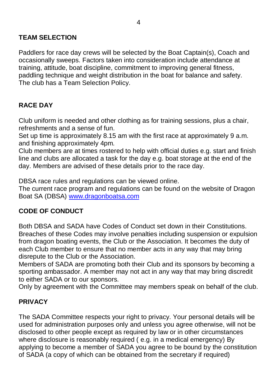#### **TEAM SELECTION**

Paddlers for race day crews will be selected by the Boat Captain(s), Coach and occasionally sweeps. Factors taken into consideration include attendance at training, attitude, boat discipline, commitment to improving general fitness, paddling technique and weight distribution in the boat for balance and safety. The club has a Team Selection Policy.

# **RACE DAY**

Club uniform is needed and other clothing as for training sessions, plus a chair, refreshments and a sense of fun.

Set up time is approximately 8.15 am with the first race at approximately 9 a.m. and finishing approximately 4pm.

Club members are at times rostered to help with official duties e.g. start and finish line and clubs are allocated a task for the day e.g. boat storage at the end of the day. Members are advised of these details prior to the race day.

DBSA race rules and regulations can be viewed online.

The current race program and regulations can be found on the website of Dragon Boat SA (DBSA) [www.dragonboatsa.com](http://www.dragonboatsa.com/)

#### **CODE OF CONDUCT**

Both DBSA and SADA have Codes of Conduct set down in their Constitutions. Breaches of these Codes may involve penalties including suspension or expulsion from dragon boating events, the Club or the Association. It becomes the duty of each Club member to ensure that no member acts in any way that may bring disrepute to the Club or the Association.

Members of SADA are promoting both their Club and its sponsors by becoming a sporting ambassador. A member may not act in any way that may bring discredit to either SADA or to our sponsors.

Only by agreement with the Committee may members speak on behalf of the club.

#### **PRIVACY**

The SADA Committee respects your right to privacy. Your personal details will be used for administration purposes only and unless you agree otherwise, will not be disclosed to other people except as required by law or in other circumstances where disclosure is reasonably required (e.g. in a medical emergency) By applying to become a member of SADA you agree to be bound by the constitution of SADA (a copy of which can be obtained from the secretary if required)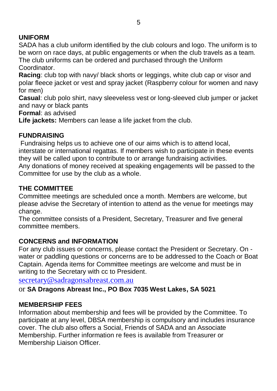# **UNIFORM**

SADA has a club uniform identified by the club colours and logo. The uniform is to be worn on race days, at public engagements or when the club travels as a team. The club uniforms can be ordered and purchased through the Uniform **Coordinator** 

**Racing**: club top with navy/ black shorts or leggings, white club cap or visor and polar fleece jacket or vest and spray jacket (Raspberry colour for women and navy for men)

**Casual**: club polo shirt, navy sleeveless vest or long-sleeved club jumper or jacket and navy or black pants

**Formal**: as advised

**Life jackets:** Members can lease a life jacket from the club.

# **FUNDRAISING**

Fundraising helps us to achieve one of our aims which is to attend local, interstate or international regattas. If members wish to participate in these events they will be called upon to contribute to or arrange fundraising activities. Any donations of money received at speaking engagements will be passed to the

Committee for use by the club as a whole.

# **THE COMMITTEE**

Committee meetings are scheduled once a month. Members are welcome, but please advise the Secretary of intention to attend as the venue for meetings may change.

The committee consists of a President, Secretary, Treasurer and five general committee members.

#### **CONCERNS and INFORMATION**

For any club issues or concerns, please contact the President or Secretary. On water or paddling questions or concerns are to be addressed to the Coach or Boat Captain. Agenda items for Committee meetings are welcome and must be in writing to the Secretary with cc to President.

secretary@sadragonsabreast.com.au

or **SA Dragons Abreast Inc., PO Box 7035 West Lakes, SA 5021**

#### **MEMBERSHIP FEES**

Information about membership and fees will be provided by the Committee. To participate at any level, DBSA membership is compulsory and includes insurance cover. The club also offers a Social, Friends of SADA and an Associate Membership. Further information re fees is available from Treasurer or Membership Liaison Officer.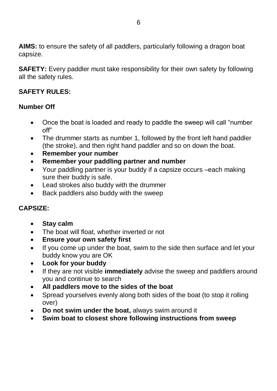**AIMS:** to ensure the safety of all paddlers, particularly following a dragon boat capsize.

**SAFETY:** Every paddler must take responsibility for their own safety by following all the safety rules.

#### **SAFETY RULES:**

#### **Number Off**

- Once the boat is loaded and ready to paddle the sweep will call "number off"
- The drummer starts as number 1, followed by the front left hand paddler (the stroke), and then right hand paddler and so on down the boat.
- **Remember your number**
- **Remember your paddling partner and number**
- Your paddling partner is your buddy if a capsize occurs –each making sure their buddy is safe.
- Lead strokes also buddy with the drummer
- Back paddlers also buddy with the sweep

#### **CAPSIZE:**

- **Stay calm**
- The boat will float, whether inverted or not
- **Ensure your own safety first**
- If you come up under the boat, swim to the side then surface and let your buddy know you are OK
- **Look for your buddy**
- If they are not visible **immediately** advise the sweep and paddlers around you and continue to search
- **All paddlers move to the sides of the boat**
- Spread yourselves evenly along both sides of the boat (to stop it rolling over)
- **Do not swim under the boat,** always swim around it
- **Swim boat to closest shore following instructions from sweep**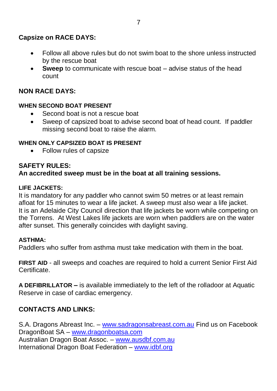# **Capsize on RACE DAYS:**

- Follow all above rules but do not swim boat to the shore unless instructed by the rescue boat
- **Sweep** to communicate with rescue boat advise status of the head count

#### **NON RACE DAYS:**

#### **WHEN SECOND BOAT PRESENT**

- Second boat is not a rescue boat
- Sweep of capsized boat to advise second boat of head count. If paddler missing second boat to raise the alarm.

#### **WHEN ONLY CAPSIZED BOAT IS PRESENT**

• Follow rules of capsize

#### **SAFETY RULES: An accredited sweep must be in the boat at all training sessions.**

#### **LIFE JACKETS:**

It is mandatory for any paddler who cannot swim 50 metres or at least remain afloat for 15 minutes to wear a life jacket. A sweep must also wear a life jacket. It is an Adelaide City Council direction that life jackets be worn while competing on the Torrens. At West Lakes life jackets are worn when paddlers are on the water after sunset. This generally coincides with daylight saving.

#### **ASTHMA:**

Paddlers who suffer from asthma must take medication with them in the boat.

**FIRST AID** - all sweeps and coaches are required to hold a current Senior First Aid Certificate.

**A DEFIBRILLATOR –** is available immediately to the left of the rolladoor at Aquatic Reserve in case of cardiac emergency.

#### **CONTACTS AND LINKS:**

S.A. Dragons Abreast Inc. – [www.sadragonsabreast.com.au](http://www.sadragonsabreast.com.au/) Find us on Facebook DragonBoat SA – [www.dragonboatsa.com](http://www.dragonboatsa.com/) Australian Dragon Boat Assoc. – [www.ausdbf.com.au](http://www.ausdbf.com.au/) International Dragon Boat Federation – [www.idbf.org](http://www.idbf.org/)